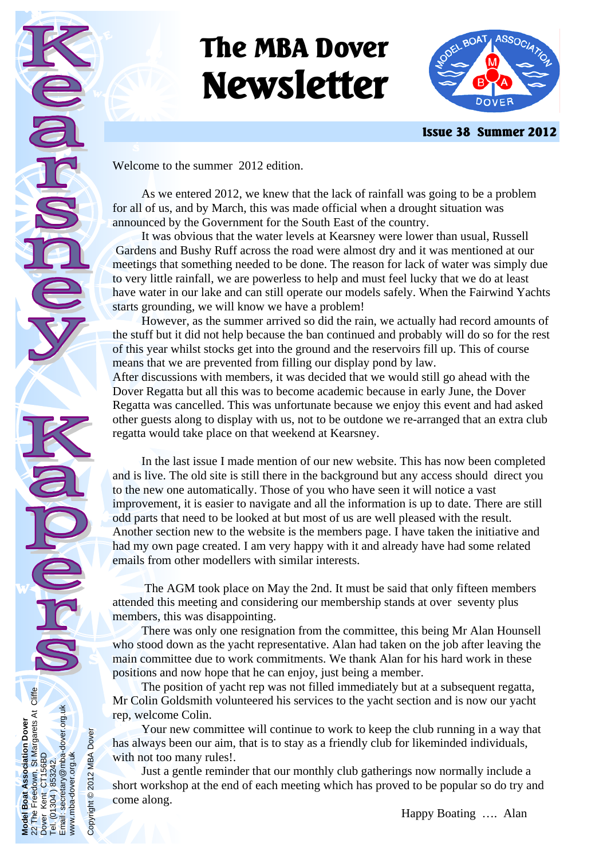# **The MBA Dover Newsletter**



 **Issue 38 Summer 2012** 

Welcome to the summer 2012 edition.

**Model Boat Association Dover**  22 The Freedown, St Margarets At Cliffe

**Boat** Kent  $(01304)$ 

The

Model<br>22 The

Boat Association Dover<br>Freedown, St Margarets At Cliffe<br>Kent CT156BD

Dover Kent CT156BD Tel. (01304 ) 853242. Email: secretary@mba-dover.org.uk

1304) 853242.<br>secretary@mba-dover.org.uk

Tel. (01

www.mba-dover.org.uk

www.mba-dover.org.uk

Copyright © 2012 MBA Dover

Copyright © 2012 MBA Dover

 As we entered 2012, we knew that the lack of rainfall was going to be a problem for all of us, and by March, this was made official when a drought situation was announced by the Government for the South East of the country.

 It was obvious that the water levels at Kearsney were lower than usual, Russell Gardens and Bushy Ruff across the road were almost dry and it was mentioned at our meetings that something needed to be done. The reason for lack of water was simply due to very little rainfall, we are powerless to help and must feel lucky that we do at least have water in our lake and can still operate our models safely. When the Fairwind Yachts starts grounding, we will know we have a problem!

 However, as the summer arrived so did the rain, we actually had record amounts of the stuff but it did not help because the ban continued and probably will do so for the rest of this year whilst stocks get into the ground and the reservoirs fill up. This of course means that we are prevented from filling our display pond by law.

After discussions with members, it was decided that we would still go ahead with the Dover Regatta but all this was to become academic because in early June, the Dover Regatta was cancelled. This was unfortunate because we enjoy this event and had asked other guests along to display with us, not to be outdone we re-arranged that an extra club regatta would take place on that weekend at Kearsney.

 In the last issue I made mention of our new website. This has now been completed and is live. The old site is still there in the background but any access should direct you to the new one automatically. Those of you who have seen it will notice a vast improvement, it is easier to navigate and all the information is up to date. There are still odd parts that need to be looked at but most of us are well pleased with the result. Another section new to the website is the members page. I have taken the initiative and had my own page created. I am very happy with it and already have had some related emails from other modellers with similar interests.

 The AGM took place on May the 2nd. It must be said that only fifteen members attended this meeting and considering our membership stands at over seventy plus members, this was disappointing.

 There was only one resignation from the committee, this being Mr Alan Hounsell who stood down as the yacht representative. Alan had taken on the job after leaving the main committee due to work commitments. We thank Alan for his hard work in these positions and now hope that he can enjoy, just being a member.

 The position of yacht rep was not filled immediately but at a subsequent regatta, Mr Colin Goldsmith volunteered his services to the yacht section and is now our yacht rep, welcome Colin.

 Your new committee will continue to work to keep the club running in a way that has always been our aim, that is to stay as a friendly club for likeminded individuals, with not too many rules!.

 Just a gentle reminder that our monthly club gatherings now normally include a short workshop at the end of each meeting which has proved to be popular so do try and come along.

Happy Boating …. Alan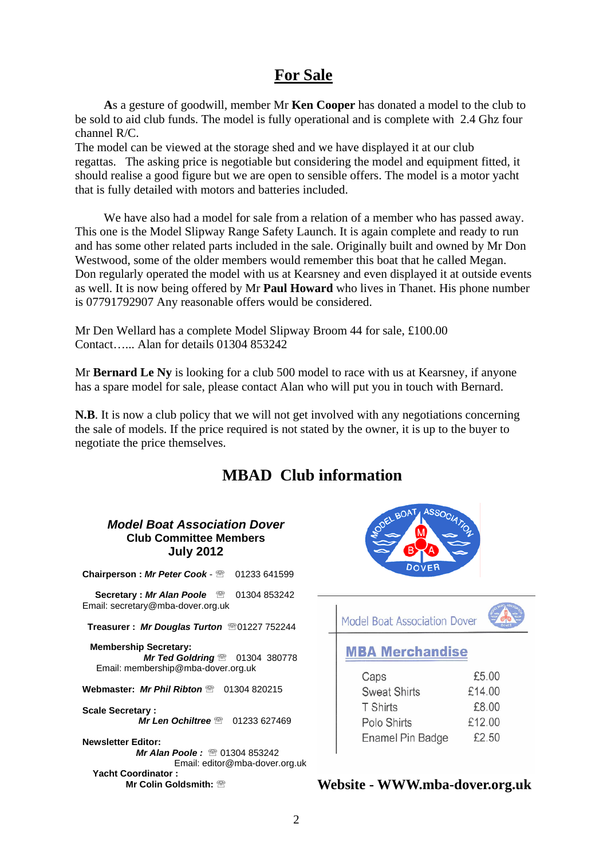# **For Sale**

**A**s a gesture of goodwill, member Mr **Ken Cooper** has donated a model to the club to be sold to aid club funds. The model is fully operational and is complete with 2.4 Ghz four channel R/C.

The model can be viewed at the storage shed and we have displayed it at our club regattas. The asking price is negotiable but considering the model and equipment fitted, it should realise a good figure but we are open to sensible offers. The model is a motor yacht that is fully detailed with motors and batteries included.

 We have also had a model for sale from a relation of a member who has passed away. This one is the Model Slipway Range Safety Launch. It is again complete and ready to run and has some other related parts included in the sale. Originally built and owned by Mr Don Westwood, some of the older members would remember this boat that he called Megan. Don regularly operated the model with us at Kearsney and even displayed it at outside events as well. It is now being offered by Mr **Paul Howard** who lives in Thanet. His phone number is 07791792907 Any reasonable offers would be considered.

Mr Den Wellard has a complete Model Slipway Broom 44 for sale, £100.00 Contact…... Alan for details 01304 853242

Mr **Bernard Le Ny** is looking for a club 500 model to race with us at Kearsney, if anyone has a spare model for sale, please contact Alan who will put you in touch with Bernard.

**N.B**. It is now a club policy that we will not get involved with any negotiations concerning the sale of models. If the price required is not stated by the owner, it is up to the buyer to negotiate the price themselves.

# **MBAD Club information**

#### *Model Boat Association Dover*  **Club Committee Members July 2012**

**Chairperson :** *Mr Peter Cook* - ℡ 01233 641599 **Secretary : Mr Alan Poole** to 01304 853242 Email: secretary@mba-dover.org.uk  **Treasurer :** *Mr Douglas Turton* ℡01227 752244  **Membership Secretary:**  *Mr Ted Goldring* <sup>·</sup> 01304 380778 Email: membership@mba-dover.org.uk **Webmaster:** *Mr Phil Ribton* · 01304 820215 **Scale Secretary :**  *Mr Len Ochiltree* · 01233 627469 **Newsletter Editor:** 

*Mr Alan Poole:* to 01304 853242 Email: editor@mba-dover.org.uk  **Yacht Coordinator : Mr Colin Goldsmith: <sup>®</sup>** 



Model Boat Association Dover

## **MBA Merchandise**

| Caps                | £5.00  |
|---------------------|--------|
| <b>Sweat Shirts</b> | £14.00 |
| <b>T</b> Shirts     | £8.00  |
| Polo Shirts         | £12.00 |
| Enamel Pin Badge    | £2.50  |

## **Website - WWW.mba-dover.org.uk**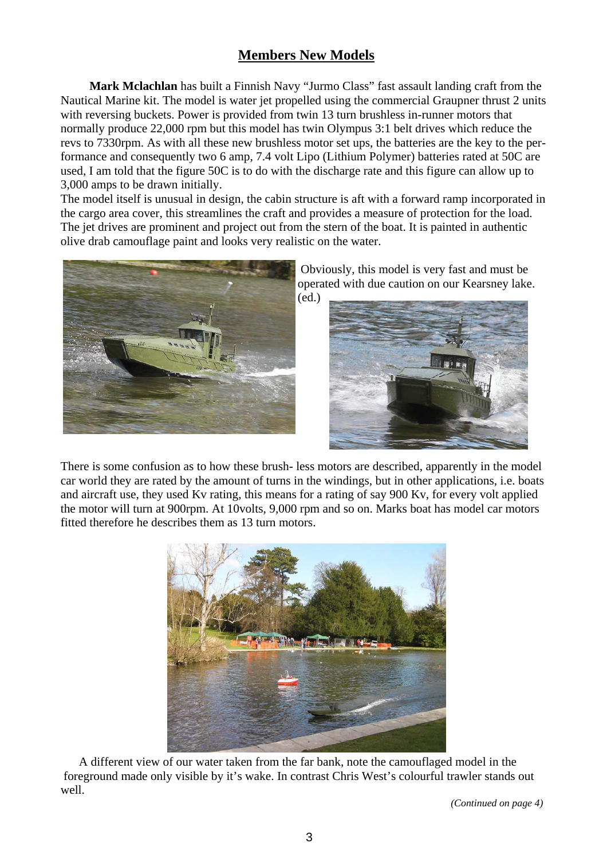## **Members New Models**

**Mark Mclachlan** has built a Finnish Navy "Jurmo Class" fast assault landing craft from the Nautical Marine kit. The model is water jet propelled using the commercial Graupner thrust 2 units with reversing buckets. Power is provided from twin 13 turn brushless in-runner motors that normally produce 22,000 rpm but this model has twin Olympus 3:1 belt drives which reduce the revs to 7330rpm. As with all these new brushless motor set ups, the batteries are the key to the performance and consequently two 6 amp, 7.4 volt Lipo (Lithium Polymer) batteries rated at 50C are used, I am told that the figure 50C is to do with the discharge rate and this figure can allow up to 3,000 amps to be drawn initially.

The model itself is unusual in design, the cabin structure is aft with a forward ramp incorporated in the cargo area cover, this streamlines the craft and provides a measure of protection for the load. The jet drives are prominent and project out from the stern of the boat. It is painted in authentic olive drab camouflage paint and looks very realistic on the water.



 Obviously, this model is very fast and must be operated with due caution on our Kearsney lake. (ed.)



There is some confusion as to how these brush- less motors are described, apparently in the model car world they are rated by the amount of turns in the windings, but in other applications, i.e. boats and aircraft use, they used Kv rating, this means for a rating of say 900 Kv, for every volt applied the motor will turn at 900rpm. At 10volts, 9,000 rpm and so on. Marks boat has model car motors fitted therefore he describes them as 13 turn motors.



 A different view of our water taken from the far bank, note the camouflaged model in the foreground made only visible by it's wake. In contrast Chris West's colourful trawler stands out well.

 *(Continued on page 4)*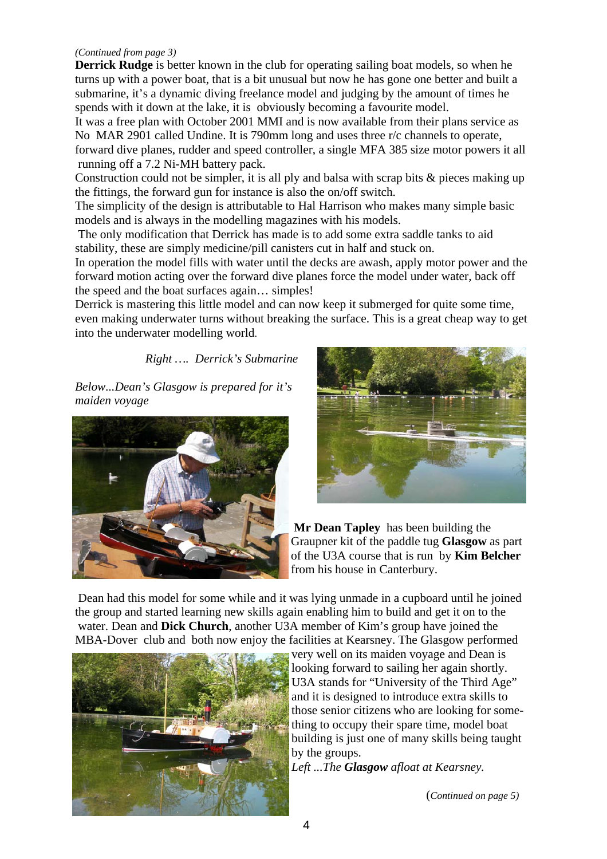#### *(Continued from page 3)*

**Derrick Rudge** is better known in the club for operating sailing boat models, so when he turns up with a power boat, that is a bit unusual but now he has gone one better and built a submarine, it's a dynamic diving freelance model and judging by the amount of times he spends with it down at the lake, it is obviously becoming a favourite model.

It was a free plan with October 2001 MMI and is now available from their plans service as No MAR 2901 called Undine. It is 790mm long and uses three r/c channels to operate,

forward dive planes, rudder and speed controller, a single MFA 385 size motor powers it all running off a 7.2 Ni-MH battery pack.

Construction could not be simpler, it is all ply and balsa with scrap bits & pieces making up the fittings, the forward gun for instance is also the on/off switch.

The simplicity of the design is attributable to Hal Harrison who makes many simple basic models and is always in the modelling magazines with his models.

 The only modification that Derrick has made is to add some extra saddle tanks to aid stability, these are simply medicine/pill canisters cut in half and stuck on.

In operation the model fills with water until the decks are awash, apply motor power and the forward motion acting over the forward dive planes force the model under water, back off the speed and the boat surfaces again… simples!

Derrick is mastering this little model and can now keep it submerged for quite some time, even making underwater turns without breaking the surface. This is a great cheap way to get into the underwater modelling world.

*Right …. Derrick's Submarine* 

*Below...Dean's Glasgow is prepared for it's maiden voyage* 





**Mr Dean Tapley** has been building the Graupner kit of the paddle tug **Glasgow** as part of the U3A course that is run by **Kim Belcher**  from his house in Canterbury.

 Dean had this model for some while and it was lying unmade in a cupboard until he joined the group and started learning new skills again enabling him to build and get it on to the water. Dean and **Dick Church**, another U3A member of Kim's group have joined the MBA-Dover club and both now enjoy the facilities at Kearsney. The Glasgow performed



very well on its maiden voyage and Dean is looking forward to sailing her again shortly. U3A stands for "University of the Third Age" and it is designed to introduce extra skills to those senior citizens who are looking for something to occupy their spare time, model boat building is just one of many skills being taught by the groups.

*Left ...The Glasgow afloat at Kearsney.* 

(*Continued on page 5)*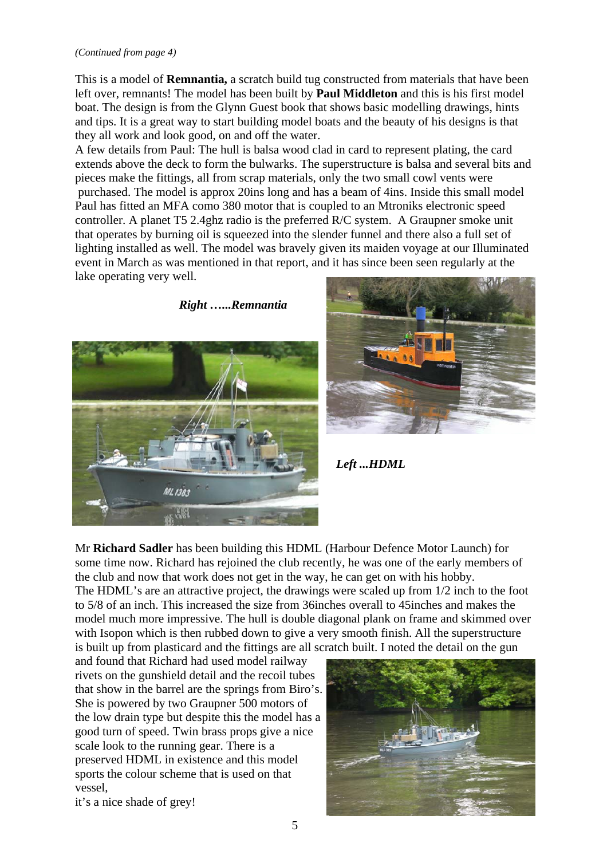#### *(Continued from page 4)*

This is a model of **Remnantia,** a scratch build tug constructed from materials that have been left over, remnants! The model has been built by **Paul Middleton** and this is his first model boat. The design is from the Glynn Guest book that shows basic modelling drawings, hints and tips. It is a great way to start building model boats and the beauty of his designs is that they all work and look good, on and off the water.

A few details from Paul: The hull is balsa wood clad in card to represent plating, the card extends above the deck to form the bulwarks. The superstructure is balsa and several bits and pieces make the fittings, all from scrap materials, only the two small cowl vents were purchased. The model is approx 20ins long and has a beam of 4ins. Inside this small model Paul has fitted an MFA como 380 motor that is coupled to an Mtroniks electronic speed controller. A planet T5 2.4ghz radio is the preferred R/C system. A Graupner smoke unit that operates by burning oil is squeezed into the slender funnel and there also a full set of lighting installed as well. The model was bravely given its maiden voyage at our Illuminated event in March as was mentioned in that report, and it has since been seen regularly at the lake operating very well.

 *Right …...Remnantia* 





 *Left ...HDML* 

Mr **Richard Sadler** has been building this HDML (Harbour Defence Motor Launch) for some time now. Richard has rejoined the club recently, he was one of the early members of the club and now that work does not get in the way, he can get on with his hobby. The HDML's are an attractive project, the drawings were scaled up from 1/2 inch to the foot to 5/8 of an inch. This increased the size from 36inches overall to 45inches and makes the model much more impressive. The hull is double diagonal plank on frame and skimmed over with Isopon which is then rubbed down to give a very smooth finish. All the superstructure is built up from plasticard and the fittings are all scratch built. I noted the detail on the gun

and found that Richard had used model railway rivets on the gunshield detail and the recoil tubes that show in the barrel are the springs from Biro's. She is powered by two Graupner 500 motors of the low drain type but despite this the model has a good turn of speed. Twin brass props give a nice scale look to the running gear. There is a preserved HDML in existence and this model sports the colour scheme that is used on that vessel,



it's a nice shade of grey!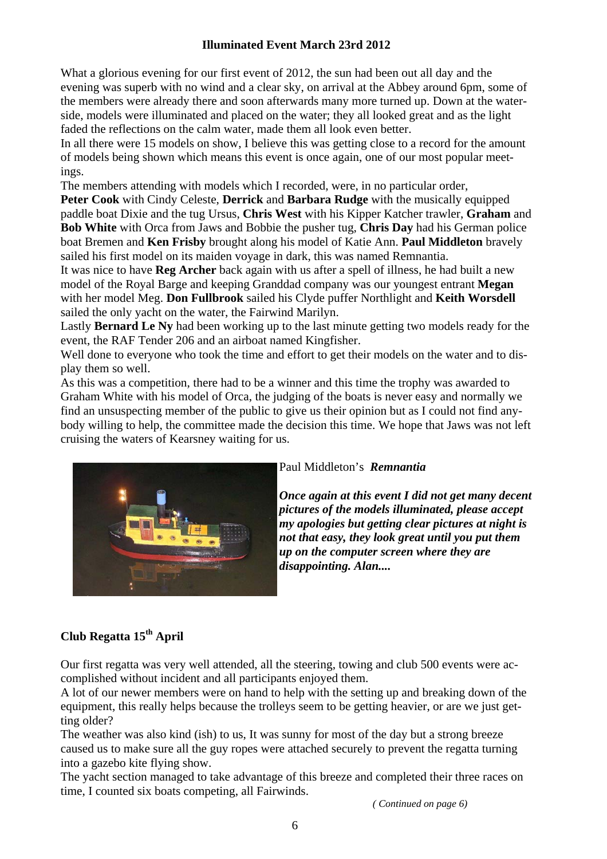## **Illuminated Event March 23rd 2012**

What a glorious evening for our first event of 2012, the sun had been out all day and the evening was superb with no wind and a clear sky, on arrival at the Abbey around 6pm, some of the members were already there and soon afterwards many more turned up. Down at the waterside, models were illuminated and placed on the water; they all looked great and as the light faded the reflections on the calm water, made them all look even better.

In all there were 15 models on show, I believe this was getting close to a record for the amount of models being shown which means this event is once again, one of our most popular meetings.

The members attending with models which I recorded, were, in no particular order,

**Peter Cook** with Cindy Celeste, **Derrick** and **Barbara Rudge** with the musically equipped paddle boat Dixie and the tug Ursus, **Chris West** with his Kipper Katcher trawler, **Graham** and **Bob White** with Orca from Jaws and Bobbie the pusher tug, **Chris Day** had his German police boat Bremen and **Ken Frisby** brought along his model of Katie Ann. **Paul Middleton** bravely sailed his first model on its maiden voyage in dark, this was named Remnantia.

It was nice to have **Reg Archer** back again with us after a spell of illness, he had built a new model of the Royal Barge and keeping Granddad company was our youngest entrant **Megan** with her model Meg. **Don Fullbrook** sailed his Clyde puffer Northlight and **Keith Worsdell** sailed the only yacht on the water, the Fairwind Marilyn.

Lastly **Bernard Le Ny** had been working up to the last minute getting two models ready for the event, the RAF Tender 206 and an airboat named Kingfisher.

Well done to everyone who took the time and effort to get their models on the water and to display them so well.

As this was a competition, there had to be a winner and this time the trophy was awarded to Graham White with his model of Orca, the judging of the boats is never easy and normally we find an unsuspecting member of the public to give us their opinion but as I could not find anybody willing to help, the committee made the decision this time. We hope that Jaws was not left cruising the waters of Kearsney waiting for us.



Paul Middleton's *Remnantia* 

*Once again at this event I did not get many decent pictures of the models illuminated, please accept my apologies but getting clear pictures at night is not that easy, they look great until you put them up on the computer screen where they are disappointing. Alan....* 

## **Club Regatta 15th April**

Our first regatta was very well attended, all the steering, towing and club 500 events were accomplished without incident and all participants enjoyed them.

A lot of our newer members were on hand to help with the setting up and breaking down of the equipment, this really helps because the trolleys seem to be getting heavier, or are we just getting older?

The weather was also kind (ish) to us, It was sunny for most of the day but a strong breeze caused us to make sure all the guy ropes were attached securely to prevent the regatta turning into a gazebo kite flying show.

The yacht section managed to take advantage of this breeze and completed their three races on time, I counted six boats competing, all Fairwinds.

*( Continued on page 6)*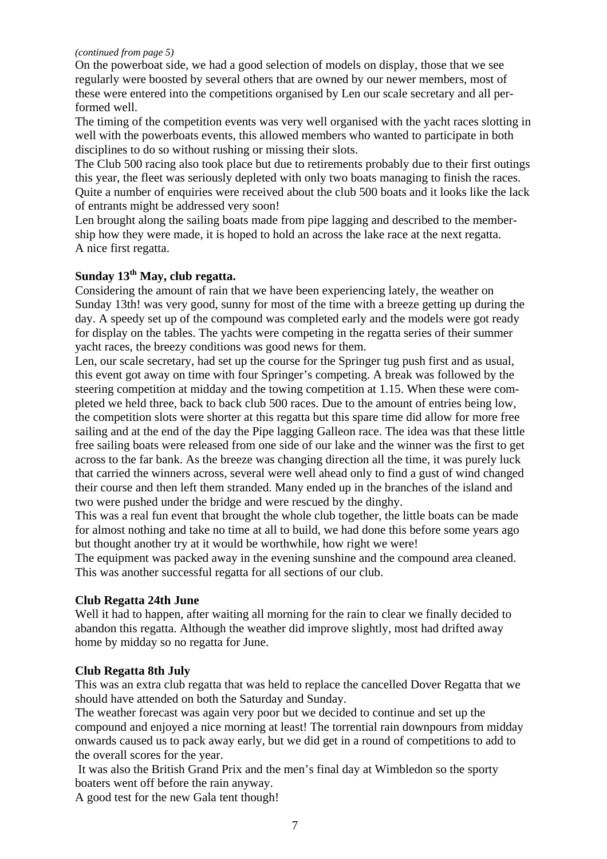#### *(continued from page 5)*

On the powerboat side, we had a good selection of models on display, those that we see regularly were boosted by several others that are owned by our newer members, most of these were entered into the competitions organised by Len our scale secretary and all performed well.

The timing of the competition events was very well organised with the yacht races slotting in well with the powerboats events, this allowed members who wanted to participate in both disciplines to do so without rushing or missing their slots.

The Club 500 racing also took place but due to retirements probably due to their first outings this year, the fleet was seriously depleted with only two boats managing to finish the races. Quite a number of enquiries were received about the club 500 boats and it looks like the lack of entrants might be addressed very soon!

Len brought along the sailing boats made from pipe lagging and described to the membership how they were made, it is hoped to hold an across the lake race at the next regatta. A nice first regatta.

## Sunday 13<sup>th</sup> May, club regatta.

Considering the amount of rain that we have been experiencing lately, the weather on Sunday 13th! was very good, sunny for most of the time with a breeze getting up during the day. A speedy set up of the compound was completed early and the models were got ready for display on the tables. The yachts were competing in the regatta series of their summer yacht races, the breezy conditions was good news for them.

Len, our scale secretary, had set up the course for the Springer tug push first and as usual, this event got away on time with four Springer's competing. A break was followed by the steering competition at midday and the towing competition at 1.15. When these were completed we held three, back to back club 500 races. Due to the amount of entries being low, the competition slots were shorter at this regatta but this spare time did allow for more free sailing and at the end of the day the Pipe lagging Galleon race. The idea was that these little free sailing boats were released from one side of our lake and the winner was the first to get across to the far bank. As the breeze was changing direction all the time, it was purely luck that carried the winners across, several were well ahead only to find a gust of wind changed their course and then left them stranded. Many ended up in the branches of the island and two were pushed under the bridge and were rescued by the dinghy.

This was a real fun event that brought the whole club together, the little boats can be made for almost nothing and take no time at all to build, we had done this before some years ago but thought another try at it would be worthwhile, how right we were!

The equipment was packed away in the evening sunshine and the compound area cleaned. This was another successful regatta for all sections of our club.

#### **Club Regatta 24th June**

Well it had to happen, after waiting all morning for the rain to clear we finally decided to abandon this regatta. Although the weather did improve slightly, most had drifted away home by midday so no regatta for June.

#### **Club Regatta 8th July**

This was an extra club regatta that was held to replace the cancelled Dover Regatta that we should have attended on both the Saturday and Sunday.

The weather forecast was again very poor but we decided to continue and set up the compound and enjoyed a nice morning at least! The torrential rain downpours from midday onwards caused us to pack away early, but we did get in a round of competitions to add to the overall scores for the year.

 It was also the British Grand Prix and the men's final day at Wimbledon so the sporty boaters went off before the rain anyway.

A good test for the new Gala tent though!